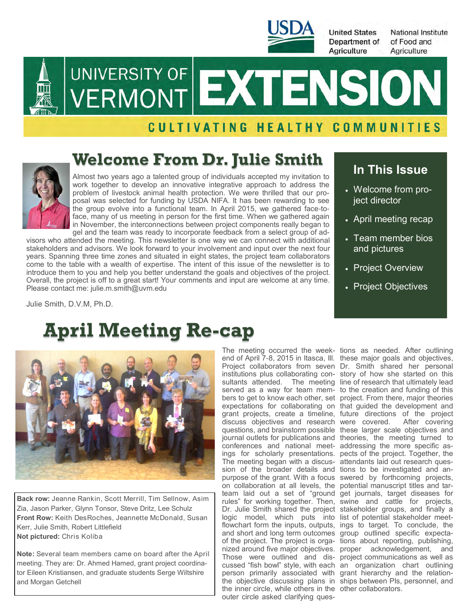

**United States** Department of Agriculture

**National Institute** of Food and Agriculture



# UNIVERSITY OF EXTENSION

#### CULTIVATING HEALTHY COMMUNITIES

### **Welcome From Dr. Julie Smith**



Almost two years ago a talented group of individuals accepted my invitation to work together to develop an innovative integrative approach to address the problem of livestock animal health protection. We were thrilled that our proposal was selected for funding by USDA NIFA. It has been rewarding to see the group evolve into a functional team. In April 2015, we gathered face-toface, many of us meeting in person for the first time. When we gathered again in November, the interconnections between project components really began to

gel and the team was ready to incorporate feedback from a select group of advisors who attended the meeting. This newsletter is one way we can connect with additional stakeholders and advisors. We look forward to your involvement and input over the next four years. Spanning three time zones and situated in eight states, the project team collaborators come to the table with a wealth of expertise. The intent of this issue of the newsletter is to introduce them to you and help you better understand the goals and objectives of the project. Overall, the project is off to a great start! Your comments and input are welcome at any time. Please contact me: julie.m.smith@uvm.edu

Julie Smith, D.V.M, Ph.D.

## **April Meeting Re-cap**



**Back row:** Jeanne Rankin, Scott Merrill, Tim Sellnow, Asim Zia, Jason Parker, Glynn Tonsor, Steve Dritz, Lee Schulz **Front Row:** Keith DesRoches, Jeannette McDonald, Susan Kerr, Julie Smith, Robert Littlefield **Not pictured:** Chris Koliba

**Note:** Several team members came on board after the April meeting. They are: Dr. Ahmed Hamed, grant project coordinator Eileen Kristiansen, and graduate students Serge Wiltshire and Morgan Getchell

end of April 7-8, 2015 in Itasca, Ill. these major goals and objectives, Project collaborators from seven Dr. Smith shared her personal institutions plus collaborating con-story of how she started on this sultants attended. The meeting line of research that ultimately lead served as a way for team mem-to the creation and funding of this bers to get to know each other, set project. From there, major theories expectations for collaborating on that guided the development and grant projects, create a timeline, future directions of the project discuss objectives and research were covered. After covering questions, and brainstorm possible these larger scale objectives and journal outlets for publications and theories, the meeting turned to conferences and national meet-addressing the more specific asings for scholarly presentations. pects of the project. Together, the The meeting began with a discus-attendants laid out research quession of the broader details and tions to be investigated and anpurpose of the grant. With a focus swered by forthcoming projects, on collaboration at all levels, the potential manuscript titles and tarteam laid out a set of "ground get journals, target diseases for rules" for working together. Then, swine and cattle for projects, Dr. Julie Smith shared the project stakeholder groups, and finally a logic model, which puts into list of potential stakeholder meetflowchart form the inputs, outputs, ings to target. To conclude, the and short and long term outcomes group outlined specific expectaof the project. The project is orga-tions about reporting, publishing, nized around five major objectives. proper acknowledgement, and Those were outlined and dis-project communications as well as cussed "fish bowl" style, with each an organization chart outlining person primarily associated with grant hierarchy and the relationthe objective discussing plans in ships between PIs, personnel, and the inner circle, while others in the other collaborators. outer circle asked clarifying ques-

#### **In This Issue**

- Welcome from project director
- April meeting recap
- Team member bios and pictures
- Project Overview
- Project Objectives

The meeting occurred the week-tions as needed. After outlining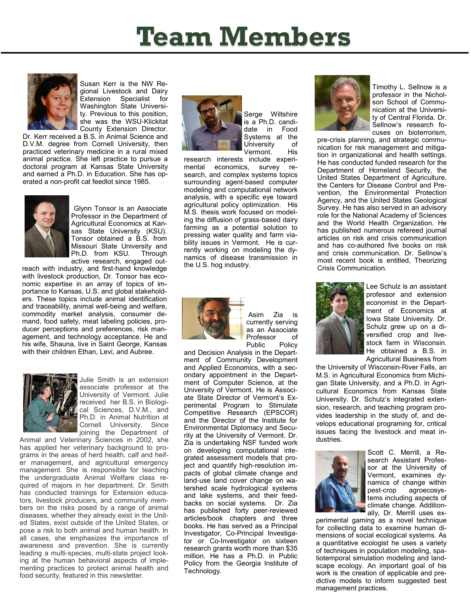## **Team Members**



Susan Kerr is the NW Regional Livestock and Dairy Extension Specialist for Washington State University. Previous to this position, she was the WSU-Klickitat County Extension Director.

Dr. Kerr received a B.S. in Animal Science and D.V.M. degree from Cornell University, then practiced veterinary medicine in a rural mixed animal practice. She left practice to pursue a doctoral program at Kansas State University and earned a Ph.D. in Education. She has operated a non-profit cat feedlot since 1985.



Glynn Tonsor is an Associate Professor in the Department of Agricultural Economics at Kansas State University (KSU). Tonsor obtained a B.S. from Missouri State University and Ph.D. from KSU. Through active research, engaged out-

reach with industry, and first-hand knowledge with livestock production, Dr. Tonsor has economic expertise in an array of topics of importance to Kansas, U.S. and global stakeholders. These topics include animal identification and traceability, animal well-being and welfare, commodity market analysis, consumer demand, food safety, meat labeling policies, producer perceptions and preferences, risk management, and technology acceptance. He and his wife, Shauna, live in Saint George, Kansas with their children Ethan, Levi, and Aubree.



Julie Smith is an extension associate professor at the University of Vermont. Julie received her B.S. in Biological Sciences, D.V.M., and Ph.D. in Animal Nutrition at Cornell University. Since joining the Department of

Animal and Veterinary Sciences in 2002, she has applied her veterinary background to programs in the areas of herd health, calf and heifer management, and agricultural emergency management. She is responsible for teaching the undergraduate Animal Welfare class required of majors in her department. Dr. Smith has conducted trainings for Extension educators, livestock producers, and community members on the risks posed by a range of animal diseases, whether they already exist in the United States, exist outside of the United States, or pose a risk to both animal and human health. In all cases, she emphasizes the importance of awareness and prevention. She is currently leading a multi-species, multi-state project looking at the human behavioral aspects of implementing practices to protect animal health and food security, featured in this newsletter.



Serge Wiltshire is a Ph.D. candidate in Food Systems at the University of Vermont. His

research interests include experimental economics, survey research, and complex systems topics surrounding agent-based computer modeling and computational network analysis, with a specific eye toward agricultural policy optimization. His M.S. thesis work focused on modeling the diffusion of grass-based dairy farming as a potential solution to pressing water quality and farm viability issues in Vermont. He is currently working on modeling the dynamics of disease transmission in the U.S. hog industry.



 Asim Zia is currently serving as an Associate Professor of<br>Public Policy Public

and Decision Analysis in the Department of Community Development and Applied Economics, with a secondary appointment in the Department of Computer Science, at the University of Vermont. He is Associate State Director of Vermont's Experimental Program to Stimulate Competitive Research (EPSCOR) and the Director of the Institute for Environmental Diplomacy and Security at the University of Vermont. Dr. Zia is undertaking NSF funded work on developing computational integrated assessment models that project and quantify high-resolution impacts of global climate change and land-use land cover change on watershed scale hydrological systems and lake systems, and their feedbacks on social systems. Dr. Zia has published forty peer-reviewed articles/book chapters and three books. He has served as a Principal Investigator, Co-Principal Investigator or Co-Investigator on sixteen research grants worth more than \$35 million. He has a Ph.D. in Public Policy from the Georgia Institute of Technology.



Timothy L. Sellnow is a professor in the Nicholson School of Communication at the University of Central Florida. Dr. Sellnow's research focuses on bioterrorism,

pre-crisis planning, and strategic communication for risk management and mitigation in organizational and health settings. He has conducted funded research for the Department of Homeland Security, the United States Department of Agriculture, the Centers for Disease Control and Prevention, the Environmental Protection Agency, and the United States Geological Survey. He has also served in an advisory role for the National Academy of Sciences and the World Health Organization. He has published numerous refereed journal articles on risk and crisis communication and has co-authored five books on risk and crisis communication. Dr. Sellnow's most recent book is entitled, Theorizing Crisis Communication.



Lee Schulz is an assistant professor and extension economist in the Department of Economics at Iowa State University. Dr. Schulz grew up on a diversified crop and livestock farm in Wisconsin. He obtained a B.S. in Agricultural Business from

the University of Wisconsin-River Falls, an M.S. in Agricultural Economics from Michigan State University, and a Ph.D. in Agricultural Economics from Kansas State University. Dr. Schulz's integrated extension, research, and teaching program provides leadership in the study of, and develops educational programing for, critical issues facing the livestock and meat industries.



Scott C. Merrill, a Research Assistant Professor at the University of Vermont, examines dynamics of change within<br>pest-crop agroecosysagroecosystems including aspects of climate change. Additionally, Dr. Merrill uses ex-

perimental gaming as a novel technique for collecting data to examine human dimensions of social ecological systems. As a quantitative ecologist he uses a variety of techniques in population modeling, spatiotemporal simulation modeling and landscape ecology. An important goal of his work is the creation of applicable and predictive models to inform suggested best management practices.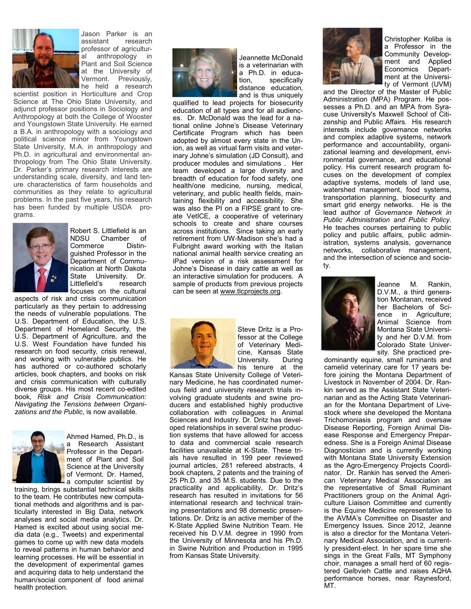

Jason Parker is an assistant research professor of agricultural anthropology in Plant and Soil Science at the University of Vermont. Previously, he held a research

scientist position in Horticulture and Crop Science at The Ohio State University, and adjunct professor positions in Sociology and Anthropology at both the College of Wooster and Youngstown State University. He earned a B.A. in anthropology with a sociology and political science minor from Youngstown State University, M.A. in anthropology and Ph.D. in agricultural and environmental anthropology from The Ohio State University. Dr. Parker's primary research interests are understanding scale, diversity, and land tenure characteristics of farm households and communities as they relate to agricultural problems. In the past five years, his research has been funded by multiple USDA programs.



Robert S. Littlefield is an NDSU Chamber of Commerce Distinguished Professor in the Department of Communication at North Dakota State University. Dr. Littlefield's research focuses on the cultural

aspects of risk and crisis communication particularly as they pertain to addressing the needs of vulnerable populations. The U.S. Department of Education, the U.S. Department of Homeland Security, the U.S. Department of Agriculture, and the U.S. West Foundation have funded his research on food security, crisis renewal, and working with vulnerable publics. He has authored or co-authored scholarly articles, book chapters, and books on risk and crisis communication with culturally diverse groups. His most recent co-edited book, *Risk and Crisis Communication: Navigating the Tensions between Organizations and the Public*, is now available.



Ahmed Hamed, Ph.D., is a Research Assistant Professor in the Department of Plant and Soil Science at the University of Vermont. Dr. Hamed, - a computer scientist by

training, brings substantial technical skills to the team. He contributes new computational methods and algorithms and is particularly interested in Big Data, network analyses and social media analytics. Dr. Hamed is excited about using social media data (e.g., Tweets) and experimental games to come up with new data models to reveal patterns in human behavior and learning processes. He will be essential in the development of experimental games and acquiring data to help understand the human/social component of food animal health protection.



Jeannette McDonald is a veterinarian with a Ph.D. in education, specifically distance education, and is thus uniquely

qualified to lead projects for biosecurity education of all types and for all audiences. Dr. McDonald was the lead for a national online Johne's Disease Veterinary Certificate Program which has been adopted by almost every state in the Union, as well as virtual farm visits and veterinary Johne's simulation (JD Consult), and producer modules and simulations . Her team developed a large diversity and breadth of education for food safety, one health/one medicine, nursing, medical, veterinary, and public health fields, maintaining flexibility and accessibility. She was also the PI on a FIPSE grant to create VetICE, a cooperative of veterinary schools to create and share courses across institutions. Since taking an early retirement from UW-Madison she's had a Fulbright award working with the Italian national animal health service creating an iPad version of a risk assessment for Johne's Disease in dairy cattle as well as an interactive simulation for producers. A sample of products from previous projects can be seen at [www.tlcprojects.org.](http://www.tlcprojects.org/)



Steve Dritz is a Professor at the College of Veterinary Medicine, Kansas State<br>University. During University. his tenure at the

Kansas State University College of Veterinary Medicine, he has coordinated numerous field and university research trials involving graduate students and swine producers and established highly productive collaboration with colleagues in Animal Sciences and Industry. Dr. Dritz has developed relationships in several swine production systems that have allowed for access to data and commercial scale research facilities unavailable at K-State. These trials have resulted in 199 peer reviewed journal articles, 281 refereed abstracts, 4 book chapters, 2 patents and the training of 25 Ph.D. and 35 M.S. students. Due to the practicality and applicability, Dr. Dritz's research has resulted in invitations for 56 international research and technical training presentations and 98 domestic presentations. Dr. Dritz is an active member of the K-State Applied Swine Nutrition Team. He received his D.V.M. degree in 1990 from the University of Minnesota and his Ph.D. in Swine Nutrition and Production in 1995 from Kansas State University.



Christopher Koliba is a Professor in the Community Development and Applied Economics Department at the University of Vermont (UVM)

and the Director of the Master of Public Administration (MPA) Program. He possesses a Ph.D. and an MPA from Syracuse University's Maxwell School of Citizenship and Public Affairs. His research interests include governance networks and complex adaptive systems, network performance and accountability, organizational learning and development, environmental governance, and educational policy. His current research program focuses on the development of complex adaptive systems, models of land use, watershed management, food systems, transportation planning, biosecurity and smart grid energy networks. He is the lead author of *Governance Network in Public Administration and Public Policy*. He teaches courses pertaining to public policy and public affairs, public administration, systems analysis, governance networks, collaborative management, and the intersection of science and society.



Jeanne M. Rankin, D.V.M., a third generation Montanan, received her Bachelors of Science in Agriculture; Animal Science from Montana State University and her D.V.M. from Colorado State University. She practiced pre-

dominantly equine, small ruminants and camelid veterinary care for 17 years before joining the Montana Department of Livestock in November of 2004. Dr. Rankin served as the Assistant State Veterinarian and as the Acting State Veterinarian for the Montana Department of Livestock where she developed the Montana Trichomoniasis program and oversaw Disease Reporting, Foreign Animal Disease Response and Emergency Preparedness. She is a Foreign Animal Disease Diagnostician and is currently working with Montana State University Extension as the Agro-Emergency Projects Coordinator. Dr. Rankin has served the American Veterinary Medical Association as the representative of Small Ruminant Practitioners group on the Animal Agriculture Liaison Committee and currently is the Equine Medicine representative to the AVMA's Committee on Disaster and Emergency Issues. Since 2012, Jeanne is also a director for the Montana Veterinary Medical Association, and is currently president-elect. In her spare time she sings in the Great Falls, MT Symphony choir, manages a small herd of 60 registered Gelbvieh Cattle and raises AQHA performance horses, near Raynesford, MT.